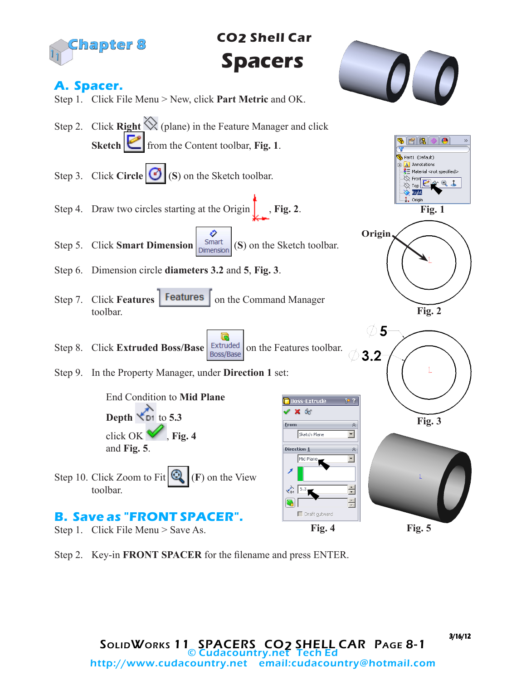

**Fig. 5**

Step 2. Key-in **FRONT SPACER** for the filename and press ENTER.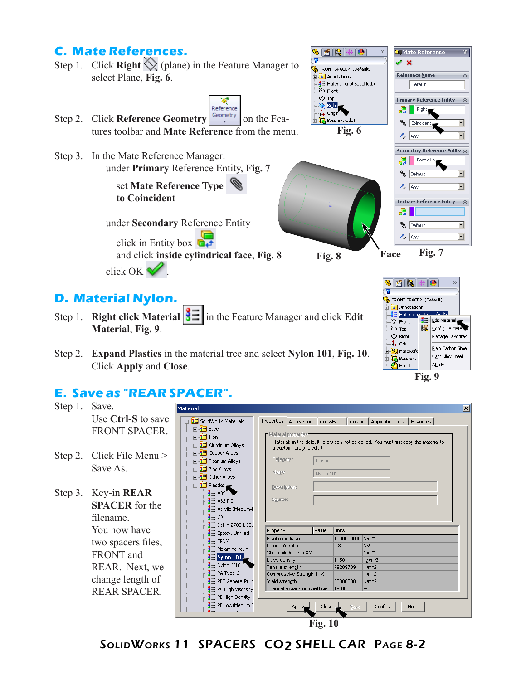## **C. Mate References.**

- Step 1. Click **Right**  $\bigotimes$  (plane) in the Feature Manager to **S** FRONT SPACER (Default) select Plane, **Fig. 6**.  $\mathbf{A}$  Annotations -3 Material <not specified>  $\bigotimes$  Front
- Reference Step 2. Click **Reference Geometry**  $\left|\frac{\text{Geometry}}{\text{}}\right|$  on the Features toolbar and **Mate Reference** from the menu.
- Step 3. In the Mate Reference Manager: under **Primary** Reference Entity, **Fig. 7**

 set **Mate Reference Type to Coincident**

under **Secondary** Reference Entity

click in Entity box  $\overrightarrow{a+}$ and click **inside cylindrical face**, **Fig. 8**

**Fig. 6**

 $\bigoplus$ 

 $\infty$ 

**SEE** 

∜ Top

 $\frac{1}{\sqrt{2}}$  **Right** 

Boss-Extrude1

**Fig. 8 Face Fig. 7**

FRONT SPACER (Default)  $\mathbf{A}$  Annotations Material Spot

 $\bullet$ 

Edit Material

Manage Favorites

Plain Carbon Steel

÷.

Cast Alloy Steel

ABS PC

**Q** Mate Reference

Reference Name

Default

Primary Reference Entity

Secondary Reference Entity  $\hat{\otimes}$  $\big|$  Face <1:

Tertiary Reference Entity

Right

**B** Coincident  $\lambda$  Any

엽.

엽 **B** Default

 $z_{\text{c}}$  any

<u>ser</u>

 $\otimes$  Front ≫ Тор  $\gg$  Right

 $\downarrow$  Origin

**E** MateRefe

**Boss-Extr** 

 $\overline{\bigcirc}$  Fillet 1

 $\overline{\mathbf{x}}$ 

\$≡

**B** Default  $\lambda_z$  Any

公

 $\overline{\mathbf{r}}$ 

न

 $\overline{\phantom{0}}$ 

 $\overline{\phantom{0}}$ 

⊡

⊡

 $\hat{\mathbf{v}}$ 

 $\mathscr{L}$   $\mathbb{X}$ 

**Fig. 9**

## **D. Material Nylon.**

click OK .

- Step 1. **Right click Material**  $\left|\frac{3}{2}\right|$  **in the Feature Manager and click Edit Material**, **Fig. 9**.
- Step 2. **Expand Plastics** in the material tree and select **Nylon 101**, **Fig. 10**. Click **Apply** and **Close**.

## **E. Save as "REAR SPACER".** Step 1. Save.

| υιυμ 1.   | Dave.                                                     |                                                                                                                                                                   | IMaterial.                                                                                                                           |                                             |                                                     |                  |                   | ×                                                                                                                                                                         |
|-----------|-----------------------------------------------------------|-------------------------------------------------------------------------------------------------------------------------------------------------------------------|--------------------------------------------------------------------------------------------------------------------------------------|---------------------------------------------|-----------------------------------------------------|------------------|-------------------|---------------------------------------------------------------------------------------------------------------------------------------------------------------------------|
|           | Use Ctrl-S to save<br><b>FRONT SPACER.</b>                |                                                                                                                                                                   | □ 3 SolidWorks Materials<br>由 3 Steel<br>由 3 Iron<br>in 8 Aluminium Alloys                                                           |                                             | Material properties<br>a custom library to edit it. |                  |                   | Properties   Appearance   CrossHatch   Custom   Application Data   Favorites  <br>Materials in the default library can not be edited. You must first copy the material to |
|           | Step 2. Click File Menu ><br>Save As.                     | 由 3 Copper Alloys<br>Category:<br>Plastics<br>中 3 Titanium Alloys<br>$\frac{1}{2}$ 3 Zinc Alloys<br>Name:<br>Nylon 101<br>in <b>3</b> Other Alloys<br>白昼 Plastics |                                                                                                                                      |                                             |                                                     |                  |                   |                                                                                                                                                                           |
| Step $3.$ | Key-in REAR<br><b>SPACER</b> for the<br>filename.         |                                                                                                                                                                   | $\frac{3}{2}$ = ABS<br>$\frac{3}{2}$ $\equiv$ ABS PC<br>$\equiv$ Acrylic (Medium-h<br><mark>≸</mark> ⊟ са<br>$\geq$ Delrin 2700 NC01 |                                             | Description:<br>Source:                             | Value            | Units             |                                                                                                                                                                           |
|           | You now have                                              |                                                                                                                                                                   | $\S$ Epoxy, Unfilled                                                                                                                 |                                             | Property                                            |                  |                   |                                                                                                                                                                           |
|           | two spacers files,                                        |                                                                                                                                                                   | $\equiv$ EPDM                                                                                                                        |                                             | Elastic modulus                                     |                  | 1000000000 N/m^2  |                                                                                                                                                                           |
|           |                                                           |                                                                                                                                                                   | $\equiv$ Melamine resin                                                                                                              |                                             | Poisson's ratio<br>Shear Modulus in XY              |                  | 0.3               | <b>N/A</b><br>N/m <sup>2</sup>                                                                                                                                            |
|           | FRONT and                                                 |                                                                                                                                                                   | $\blacksquare$ Nylon 101 $\blacksquare$                                                                                              |                                             | Mass density                                        |                  | 1150              | kg/m <sup>^3</sup>                                                                                                                                                        |
|           | REAR. Next, we<br>change length of<br><b>REAR SPACER.</b> |                                                                                                                                                                   | $\equiv$ Nylon 6/10                                                                                                                  |                                             | Tensile strenath                                    |                  | 79289709          | N/m <sup>2</sup>                                                                                                                                                          |
|           |                                                           |                                                                                                                                                                   | $\frac{3}{2}$ PA Type 6<br>$\equiv$ PBT General Purp<br>$\frac{3}{2}$ PC High Viscosity                                              | Compressive Strength in X<br>Yield strength |                                                     |                  | N/m <sup>^2</sup> |                                                                                                                                                                           |
|           |                                                           |                                                                                                                                                                   |                                                                                                                                      |                                             |                                                     | 60000000         | N/m <sup>2</sup>  |                                                                                                                                                                           |
|           |                                                           |                                                                                                                                                                   |                                                                                                                                      | lж.<br>Thermal expansion coefficient 1e-006 |                                                     |                  |                   |                                                                                                                                                                           |
|           |                                                           |                                                                                                                                                                   | $\frac{3}{2}$ PE High Density                                                                                                        |                                             |                                                     |                  |                   |                                                                                                                                                                           |
|           |                                                           |                                                                                                                                                                   | E PE Low/Medium E                                                                                                                    |                                             | Apply.                                              | $\subseteq$ lose | Save              | Config<br>Help                                                                                                                                                            |

**Fig. 10**

SOLIDWORKS 11 SPACERS CO<sub>2</sub> SHELL CAR PAGE 8-2